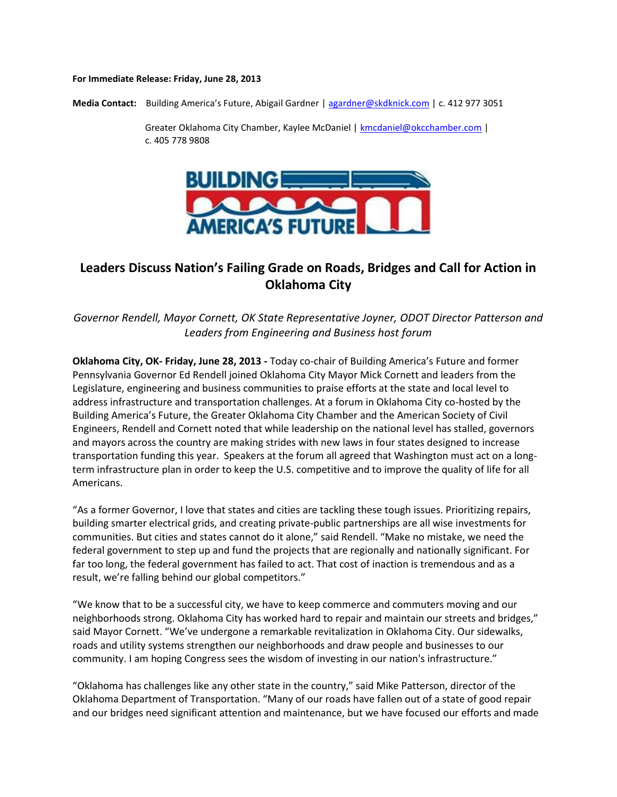## **For Immediate Release: Friday, June 28, 2013**

**Media Contact:** Building America's Future, Abigail Gardner | [agardner@skdknick.com](mailto:agardner@skdknick.com) | c. 412 977 3051

Greater Oklahoma City Chamber, Kaylee McDaniel [| kmcdaniel@okcchamber.com](mailto:kmcdaniel@okcchamber.com) | c. 405 778 9808



## **Leaders Discuss Nation's Failing Grade on Roads, Bridges and Call for Action in Oklahoma City**

*Governor Rendell, Mayor Cornett, OK State Representative Joyner, ODOT Director Patterson and Leaders from Engineering and Business host forum*

**Oklahoma City, OK- Friday, June 28, 2013 -** Today co-chair of Building America's Future and former Pennsylvania Governor Ed Rendell joined Oklahoma City Mayor Mick Cornett and leaders from the Legislature, engineering and business communities to praise efforts at the state and local level to address infrastructure and transportation challenges. At a forum in Oklahoma City co-hosted by the Building America's Future, the Greater Oklahoma City Chamber and the American Society of Civil Engineers, Rendell and Cornett noted that while leadership on the national level has stalled, governors and mayors across the country are making strides with new laws in four states designed to increase transportation funding this year. Speakers at the forum all agreed that Washington must act on a longterm infrastructure plan in order to keep the U.S. competitive and to improve the quality of life for all Americans.

"As a former Governor, I love that states and cities are tackling these tough issues. Prioritizing repairs, building smarter electrical grids, and creating private-public partnerships are all wise investments for communities. But cities and states cannot do it alone," said Rendell. "Make no mistake, we need the federal government to step up and fund the projects that are regionally and nationally significant. For far too long, the federal government has failed to act. That cost of inaction is tremendous and as a result, we're falling behind our global competitors."

"We know that to be a successful city, we have to keep commerce and commuters moving and our neighborhoods strong. Oklahoma City has worked hard to repair and maintain our streets and bridges," said Mayor Cornett. "We've undergone a remarkable revitalization in Oklahoma City. Our sidewalks, roads and utility systems strengthen our neighborhoods and draw people and businesses to our community. I am hoping Congress sees the wisdom of investing in our nation's infrastructure."

"Oklahoma has challenges like any other state in the country," said Mike Patterson, director of the Oklahoma Department of Transportation. "Many of our roads have fallen out of a state of good repair and our bridges need significant attention and maintenance, but we have focused our efforts and made